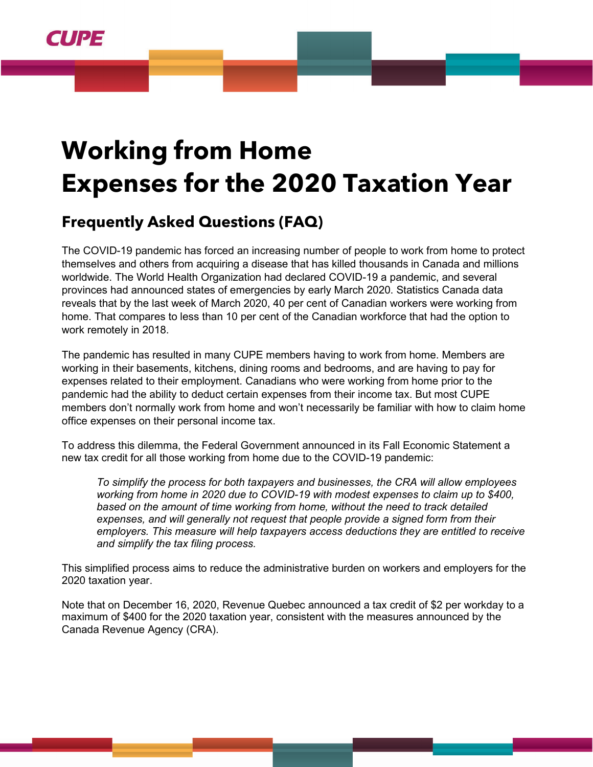

# **Working from Home Expenses for the 2020 Taxation Year**

# **Frequently Asked Questions (FAQ)**

The COVID-19 pandemic has forced an increasing number of people to work from home to protect themselves and others from acquiring a disease that has killed thousands in Canada and millions worldwide. The World Health Organization had declared COVID-19 a pandemic, and several provinces had announced states of emergencies by early March 2020. Statistics Canada data reveals that by the last week of March 2020, 40 per cent of Canadian workers were working from home. That compares to less than 10 per cent of the Canadian workforce that had the option to work remotely in 2018.

The pandemic has resulted in many CUPE members having to work from home. Members are working in their basements, kitchens, dining rooms and bedrooms, and are having to pay for expenses related to their employment. Canadians who were working from home prior to the pandemic had the ability to deduct certain expenses from their income tax. But most CUPE members don't normally work from home and won't necessarily be familiar with how to claim home office expenses on their personal income tax.

To address this dilemma, the Federal Government announced in its Fall Economic Statement a new tax credit for all those working from home due to the COVID-19 pandemic:

*To simplify the process for both taxpayers and businesses, the CRA will allow employees working from home in 2020 due to COVID-19 with modest expenses to claim up to \$400, based on the amount of time working from home, without the need to track detailed expenses, and will generally not request that people provide a signed form from their employers. This measure will help taxpayers access deductions they are entitled to receive and simplify the tax filing process.*

This simplified process aims to reduce the administrative burden on workers and employers for the 2020 taxation year.

Note that on December 16, 2020, Revenue Quebec announced a tax credit of \$2 per workday to a maximum of \$400 for the 2020 taxation year, consistent with the measures announced by the Canada Revenue Agency (CRA).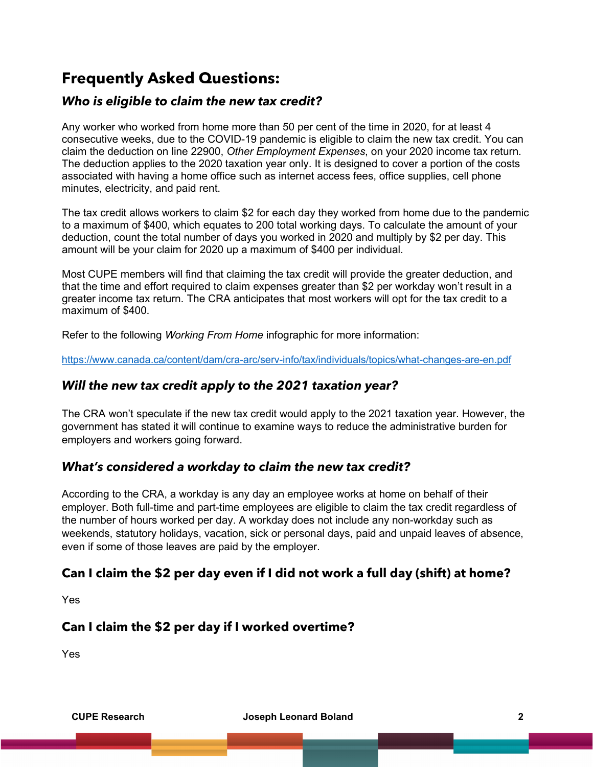## **Frequently Asked Questions:**

#### *Who is eligible to claim the new tax credit?*

Any worker who worked from home more than 50 per cent of the time in 2020, for at least 4 consecutive weeks, due to the COVID-19 pandemic is eligible to claim the new tax credit. You can claim the deduction on line 22900, *Other Employment Expenses*, on your 2020 income tax return. The deduction applies to the 2020 taxation year only. It is designed to cover a portion of the costs associated with having a home office such as internet access fees, office supplies, cell phone minutes, electricity, and paid rent.

The tax credit allows workers to claim \$2 for each day they worked from home due to the pandemic to a maximum of \$400, which equates to 200 total working days. To calculate the amount of your deduction, count the total number of days you worked in 2020 and multiply by \$2 per day. This amount will be your claim for 2020 up a maximum of \$400 per individual.

Most CUPE members will find that claiming the tax credit will provide the greater deduction, and that the time and effort required to claim expenses greater than \$2 per workday won't result in a greater income tax return. The CRA anticipates that most workers will opt for the tax credit to a maximum of \$400.

Refer to the following *Working From Home* infographic for more information:

<https://www.canada.ca/content/dam/cra-arc/serv-info/tax/individuals/topics/what-changes-are-en.pdf>

#### *Will the new tax credit apply to the 2021 taxation year?*

The CRA won't speculate if the new tax credit would apply to the 2021 taxation year. However, the government has stated it will continue to examine ways to reduce the administrative burden for employers and workers going forward.

#### *What's considered a workday to claim the new tax credit?*

According to the CRA, a workday is any day an employee works at home on behalf of their employer. Both full-time and part-time employees are eligible to claim the tax credit regardless of the number of hours worked per day. A workday does not include any non-workday such as weekends, statutory holidays, vacation, sick or personal days, paid and unpaid leaves of absence, even if some of those leaves are paid by the employer.

#### **Can I claim the \$2 per day even if I did not work a full day (shift) at home?**

Yes

#### **Can I claim the \$2 per day if I worked overtime?**

Yes

**CUPE Research Joseph Leonard Boland 2**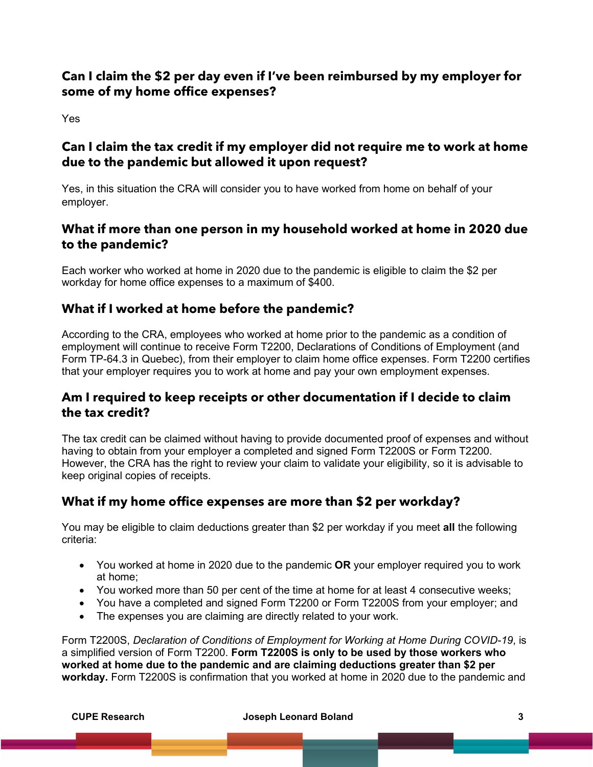#### **Can I claim the \$2 per day even if I've been reimbursed by my employer for some of my home office expenses?**

Yes

#### **Can I claim the tax credit if my employer did not require me to work at home due to the pandemic but allowed it upon request?**

Yes, in this situation the CRA will consider you to have worked from home on behalf of your employer.

#### **What if more than one person in my household worked at home in 2020 due to the pandemic?**

Each worker who worked at home in 2020 due to the pandemic is eligible to claim the \$2 per workday for home office expenses to a maximum of \$400.

### **What if I worked at home before the pandemic?**

According to the CRA, employees who worked at home prior to the pandemic as a condition of employment will continue to receive Form T2200, Declarations of Conditions of Employment (and Form TP-64.3 in Quebec), from their employer to claim home office expenses. Form T2200 certifies that your employer requires you to work at home and pay your own employment expenses.

#### **Am I required to keep receipts or other documentation if I decide to claim the tax credit?**

The tax credit can be claimed without having to provide documented proof of expenses and without having to obtain from your employer a completed and signed [Form T2200S](https://www.canada.ca/en/revenue-agency/services/forms-publications/forms/t2200s.html?utm_source=txtp&utm_medium=eml&utm_campaign=stkhldrwrkfrmhmxpnsqa) or Form T2200. However, the CRA has the right to review your claim to validate your eligibility, so it is advisable to keep original copies of receipts.

#### **What if my home office expenses are more than \$2 per workday?**

You may be eligible to claim deductions greater than \$2 per workday if you meet **all** the following criteria:

- You worked at home in 2020 due to the pandemic **OR** your employer required you to work at home;
- You worked more than 50 per cent of the time at home for at least 4 consecutive weeks;
- You have a completed and signed Form T2200 or Form T2200S from your employer; and
- The expenses you are claiming are directly related to your work.

Form T2200S, *Declaration of Conditions of Employment for Working at Home During COVID-19*, is a simplified version of Form T2200. **Form T2200S is only to be used by those workers who worked at home due to the pandemic and are claiming deductions greater than \$2 per workday.** Form T2200S is confirmation that you worked at home in 2020 due to the pandemic and

**CUPE Research Joseph Leonard Boland 3**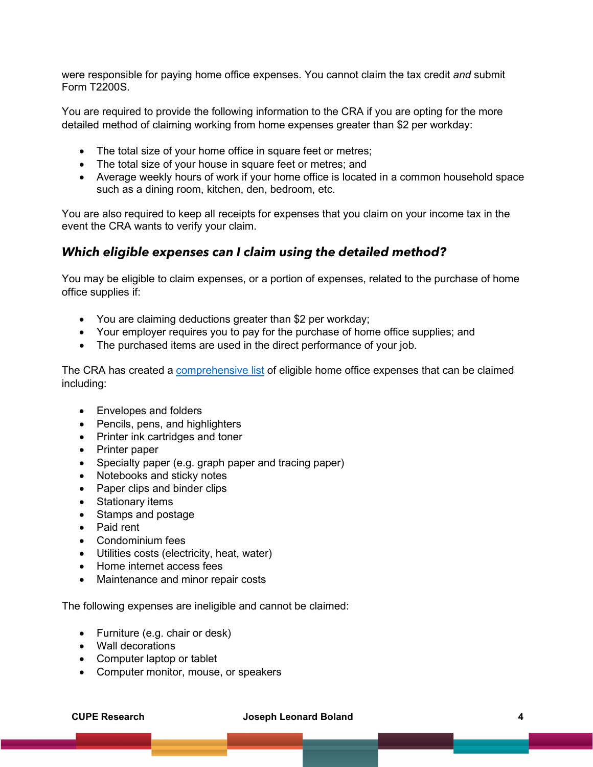were responsible for paying home office expenses. You cannot claim the tax credit *and* submit Form T2200S.

You are required to provide the following information to the CRA if you are opting for the more detailed method of claiming working from home expenses greater than \$2 per workday:

- The total size of your home office in square feet or metres;
- The total size of your house in square feet or metres; and
- Average weekly hours of work if your home office is located in a common household space such as a dining room, kitchen, den, bedroom, etc.

You are also required to keep all receipts for expenses that you claim on your income tax in the event the CRA wants to verify your claim.

#### *Which eligible expenses can I claim using the detailed method?*

You may be eligible to claim expenses, or a portion of expenses, related to the purchase of home office supplies if:

- You are claiming deductions greater than \$2 per workday;
- Your employer requires you to pay for the purchase of home office supplies; and
- The purchased items are used in the direct performance of your job.

The CRA has created a [comprehensive list](https://www.canada.ca/en/revenue-agency/services/tax/individuals/topics/about-your-tax-return/tax-return/completing-a-tax-return/deductions-credits-expenses/line-229-other-employment-expenses/work-space-home-expenses/expenses-can-claim.html) of eligible home office expenses that can be claimed including:

- Envelopes and folders
- Pencils, pens, and highlighters
- Printer ink cartridges and toner
- Printer paper
- Specialty paper (e.g. graph paper and tracing paper)
- Notebooks and sticky notes
- Paper clips and binder clips
- Stationary items
- Stamps and postage
- Paid rent
- Condominium fees
- Utilities costs (electricity, heat, water)
- Home internet access fees
- Maintenance and minor repair costs

The following expenses are ineligible and cannot be claimed:

- Furniture (e.g. chair or desk)
- Wall decorations
- Computer laptop or tablet
- Computer monitor, mouse, or speakers

#### **CUPE Research Joseph Leonard Boland 4**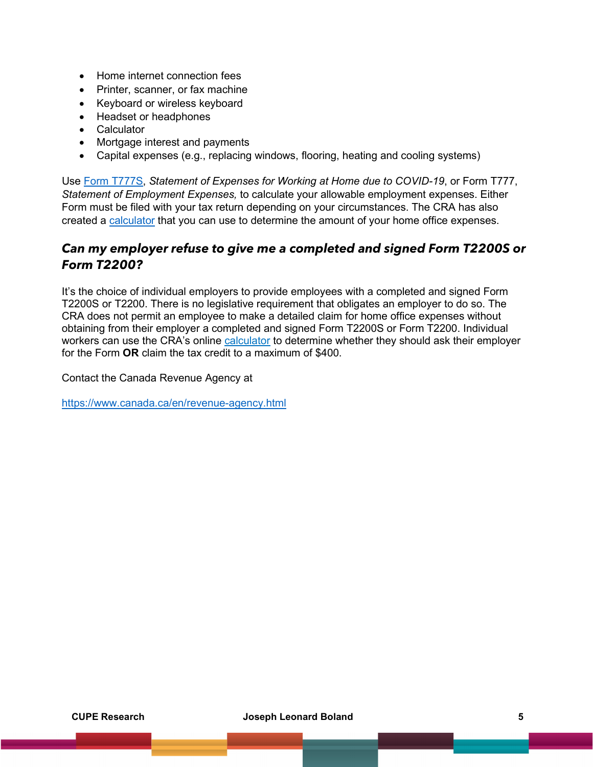- Home internet connection fees
- Printer, scanner, or fax machine
- Keyboard or wireless keyboard
- Headset or headphones
- **Calculator**
- Mortgage interest and payments
- Capital expenses (e.g., replacing windows, flooring, heating and cooling systems)

Use [Form T777S,](https://www.canada.ca/en/revenue-agency/services/forms-publications/forms/t777s.html?utm_source=txtp&utm_medium=eml&utm_campaign=stkhldrwrkfrmhmxpnsqa) *Statement of Expenses for Working at Home due to COVID-19*, or Form T777, *Statement of Employment Expenses,* to calculate your allowable employment expenses. Either Form must be filed with your tax return depending on your circumstances. The CRA has also created a [calculator](https://www.canada.ca/en/revenue-agency/services/tax/individuals/topics/about-your-tax-return/tax-return/completing-a-tax-return/deductions-credits-expenses/line-229-other-employment-expenses/work-space-home-expenses/calculate-expenses.html?utm_source=txtp&utm_medium=eml&utm_campaign=stkhldrwrkfrmhmxpnsqa) that you can use to determine the amount of your home office expenses.

#### *Can my employer refuse to give me a completed and signed Form T2200S or Form T2200?*

It's the choice of individual employers to provide employees with a completed and signed Form T2200S or T2200. There is no legislative requirement that obligates an employer to do so. The CRA does not permit an employee to make a detailed claim for home office expenses without obtaining from their employer a completed and signed Form T2200S or Form T2200. Individual workers can use the CRA's online [calculator](https://www.canada.ca/en/revenue-agency/services/tax/individuals/topics/about-your-tax-return/tax-return/completing-a-tax-return/deductions-credits-expenses/line-229-other-employment-expenses/work-space-home-expenses/calculate-expenses.html?utm_source=txtp&utm_medium=eml&utm_campaign=stkhldrwrkfrmhmxpnsqa) to determine whether they should ask their employer for the Form **OR** claim the tax credit to a maximum of \$400.

Contact the Canada Revenue Agency at

<https://www.canada.ca/en/revenue-agency.html>